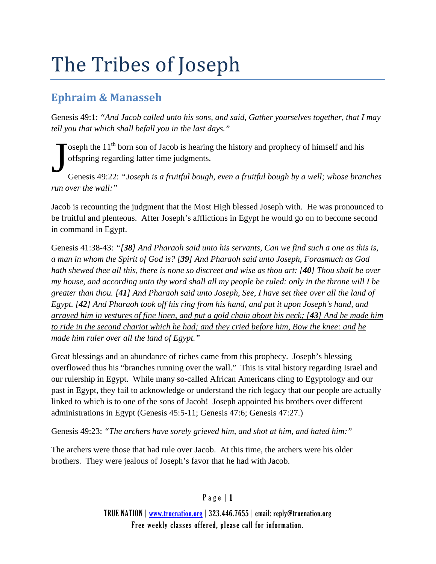# The Tribes of Joseph

## **Ephraim & Manasseh**

Genesis 49:1: *"And Jacob called unto his sons, and said, Gather yourselves together, that I may tell you that which shall befall you in the last days."*

 $\sim$  oseph the 11<sup>th</sup> born son of Jacob is hearing the history and prophecy of himself and his offspring regarding latter time judgments. J

Genesis 49:22: *"Joseph is a fruitful bough, even a fruitful bough by a well; whose branches run over the wall:"*

Jacob is recounting the judgment that the Most High blessed Joseph with. He was pronounced to be fruitful and plenteous. After Joseph's afflictions in Egypt he would go on to become second in command in Egypt.

Genesis 41:38-43: *"[38] And Pharaoh said unto his servants, Can we find such a one as this is, a man in whom the Spirit of God is? [39] And Pharaoh said unto Joseph, Forasmuch as God hath shewed thee all this, there is none so discreet and wise as thou art: [40] Thou shalt be over my house, and according unto thy word shall all my people be ruled: only in the throne will I be greater than thou. [41] And Pharaoh said unto Joseph, See, I have set thee over all the land of Egypt. [42] And Pharaoh took off his ring from his hand, and put it upon Joseph's hand, and arrayed him in vestures of fine linen, and put a gold chain about his neck; [43] And he made him to ride in the second chariot which he had; and they cried before him, Bow the knee: and he made him ruler over all the land of Egypt."*

Great blessings and an abundance of riches came from this prophecy. Joseph's blessing overflowed thus his "branches running over the wall." This is vital history regarding Israel and our rulership in Egypt. While many so-called African Americans cling to Egyptology and our past in Egypt, they fail to acknowledge or understand the rich legacy that our people are actually linked to which is to one of the sons of Jacob! Joseph appointed his brothers over different administrations in Egypt (Genesis 45:5-11; Genesis 47:6; Genesis 47:27.)

Genesis 49:23: *"The archers have sorely grieved him, and shot at him, and hated him:"*

The archers were those that had rule over Jacob. At this time, the archers were his older brothers. They were jealous of Joseph's favor that he had with Jacob.

### Page | 1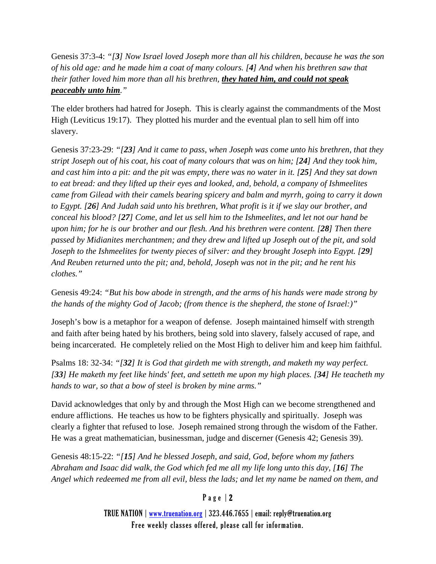Genesis 37:3-4: *"[3] Now Israel loved Joseph more than all his children, because he was the son of his old age: and he made him a coat of many colours. [4] And when his brethren saw that their father loved him more than all his brethren, they hated him, and could not speak peaceably unto him."*

The elder brothers had hatred for Joseph. This is clearly against the commandments of the Most High (Leviticus 19:17). They plotted his murder and the eventual plan to sell him off into slavery.

Genesis 37:23-29: *"[23] And it came to pass, when Joseph was come unto his brethren, that they stript Joseph out of his coat, his coat of many colours that was on him; [24] And they took him, and cast him into a pit: and the pit was empty, there was no water in it. [25] And they sat down to eat bread: and they lifted up their eyes and looked, and, behold, a company of Ishmeelites came from Gilead with their camels bearing spicery and balm and myrrh, going to carry it down to Egypt. [26] And Judah said unto his brethren, What profit is it if we slay our brother, and conceal his blood? [27] Come, and let us sell him to the Ishmeelites, and let not our hand be upon him; for he is our brother and our flesh. And his brethren were content. [28] Then there passed by Midianites merchantmen; and they drew and lifted up Joseph out of the pit, and sold Joseph to the Ishmeelites for twenty pieces of silver: and they brought Joseph into Egypt. [29] And Reuben returned unto the pit; and, behold, Joseph was not in the pit; and he rent his clothes."*

Genesis 49:24: *"But his bow abode in strength, and the arms of his hands were made strong by the hands of the mighty God of Jacob; (from thence is the shepherd, the stone of Israel:)"*

Joseph's bow is a metaphor for a weapon of defense. Joseph maintained himself with strength and faith after being hated by his brothers, being sold into slavery, falsely accused of rape, and being incarcerated. He completely relied on the Most High to deliver him and keep him faithful.

Psalms 18: 32-34: *"[32] It is God that girdeth me with strength, and maketh my way perfect. [33] He maketh my feet like hinds' feet, and setteth me upon my high places. [34] He teacheth my hands to war, so that a bow of steel is broken by mine arms."*

David acknowledges that only by and through the Most High can we become strengthened and endure afflictions. He teaches us how to be fighters physically and spiritually. Joseph was clearly a fighter that refused to lose. Joseph remained strong through the wisdom of the Father. He was a great mathematician, businessman, judge and discerner (Genesis 42; Genesis 39).

Genesis 48:15-22: *"[15] And he blessed Joseph, and said, God, before whom my fathers Abraham and Isaac did walk, the God which fed me all my life long unto this day, [16] The Angel which redeemed me from all evil, bless the lads; and let my name be named on them, and* 

### Page | 2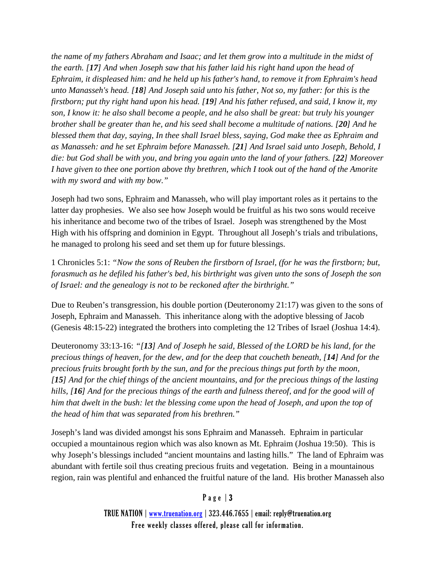*the name of my fathers Abraham and Isaac; and let them grow into a multitude in the midst of the earth. [17] And when Joseph saw that his father laid his right hand upon the head of Ephraim, it displeased him: and he held up his father's hand, to remove it from Ephraim's head unto Manasseh's head. [18] And Joseph said unto his father, Not so, my father: for this is the firstborn; put thy right hand upon his head. [19] And his father refused, and said, I know it, my son, I know it: he also shall become a people, and he also shall be great: but truly his younger brother shall be greater than he, and his seed shall become a multitude of nations. [20] And he blessed them that day, saying, In thee shall Israel bless, saying, God make thee as Ephraim and as Manasseh: and he set Ephraim before Manasseh. [21] And Israel said unto Joseph, Behold, I die: but God shall be with you, and bring you again unto the land of your fathers. [22] Moreover I have given to thee one portion above thy brethren, which I took out of the hand of the Amorite with my sword and with my bow."*

Joseph had two sons, Ephraim and Manasseh, who will play important roles as it pertains to the latter day prophesies. We also see how Joseph would be fruitful as his two sons would receive his inheritance and become two of the tribes of Israel. Joseph was strengthened by the Most High with his offspring and dominion in Egypt. Throughout all Joseph's trials and tribulations, he managed to prolong his seed and set them up for future blessings.

1 Chronicles 5:1: *"Now the sons of Reuben the firstborn of Israel, (for he was the firstborn; but, forasmuch as he defiled his father's bed, his birthright was given unto the sons of Joseph the son of Israel: and the genealogy is not to be reckoned after the birthright."*

Due to Reuben's transgression, his double portion (Deuteronomy 21:17) was given to the sons of Joseph, Ephraim and Manasseh. This inheritance along with the adoptive blessing of Jacob (Genesis 48:15-22) integrated the brothers into completing the 12 Tribes of Israel (Joshua 14:4).

Deuteronomy 33:13-16: *"[13] And of Joseph he said, Blessed of the LORD be his land, for the precious things of heaven, for the dew, and for the deep that coucheth beneath, [14] And for the precious fruits brought forth by the sun, and for the precious things put forth by the moon, [15] And for the chief things of the ancient mountains, and for the precious things of the lasting hills, [16] And for the precious things of the earth and fulness thereof, and for the good will of him that dwelt in the bush: let the blessing come upon the head of Joseph, and upon the top of the head of him that was separated from his brethren."*

Joseph's land was divided amongst his sons Ephraim and Manasseh. Ephraim in particular occupied a mountainous region which was also known as Mt. Ephraim (Joshua 19:50). This is why Joseph's blessings included "ancient mountains and lasting hills." The land of Ephraim was abundant with fertile soil thus creating precious fruits and vegetation. Being in a mountainous region, rain was plentiful and enhanced the fruitful nature of the land. His brother Manasseh also

#### Page | 3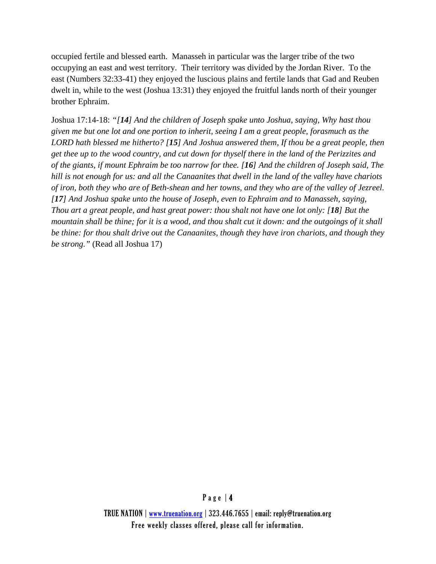occupied fertile and blessed earth. Manasseh in particular was the larger tribe of the two occupying an east and west territory. Their territory was divided by the Jordan River. To the east (Numbers 32:33-41) they enjoyed the luscious plains and fertile lands that Gad and Reuben dwelt in, while to the west (Joshua 13:31) they enjoyed the fruitful lands north of their younger brother Ephraim.

Joshua 17:14-18: *"[14] And the children of Joseph spake unto Joshua, saying, Why hast thou given me but one lot and one portion to inherit, seeing I am a great people, forasmuch as the LORD hath blessed me hitherto? [15] And Joshua answered them, If thou be a great people, then get thee up to the wood country, and cut down for thyself there in the land of the Perizzites and of the giants, if mount Ephraim be too narrow for thee. [16] And the children of Joseph said, The hill is not enough for us: and all the Canaanites that dwell in the land of the valley have chariots of iron, both they who are of Beth-shean and her towns, and they who are of the valley of Jezreel. [17] And Joshua spake unto the house of Joseph, even to Ephraim and to Manasseh, saying, Thou art a great people, and hast great power: thou shalt not have one lot only: [18] But the mountain shall be thine; for it is a wood, and thou shalt cut it down: and the outgoings of it shall be thine: for thou shalt drive out the Canaanites, though they have iron chariots, and though they be strong."* (Read all Joshua 17)

#### Page | 4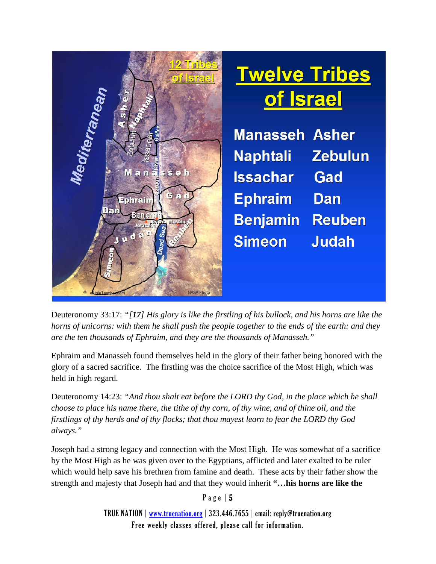

Deuteronomy 33:17: *"[17] His glory is like the firstling of his bullock, and his horns are like the horns of unicorns: with them he shall push the people together to the ends of the earth: and they are the ten thousands of Ephraim, and they are the thousands of Manasseh."*

Ephraim and Manasseh found themselves held in the glory of their father being honored with the glory of a sacred sacrifice. The firstling was the choice sacrifice of the Most High, which was held in high regard.

Deuteronomy 14:23: *"And thou shalt eat before the LORD thy God, in the place which he shall choose to place his name there, the tithe of thy corn, of thy wine, and of thine oil, and the firstlings of thy herds and of thy flocks; that thou mayest learn to fear the LORD thy God always."*

Joseph had a strong legacy and connection with the Most High. He was somewhat of a sacrifice by the Most High as he was given over to the Egyptians, afflicted and later exalted to be ruler which would help save his brethren from famine and death. These acts by their father show the strength and majesty that Joseph had and that they would inherit **"…his horns are like the** 

Page | 5